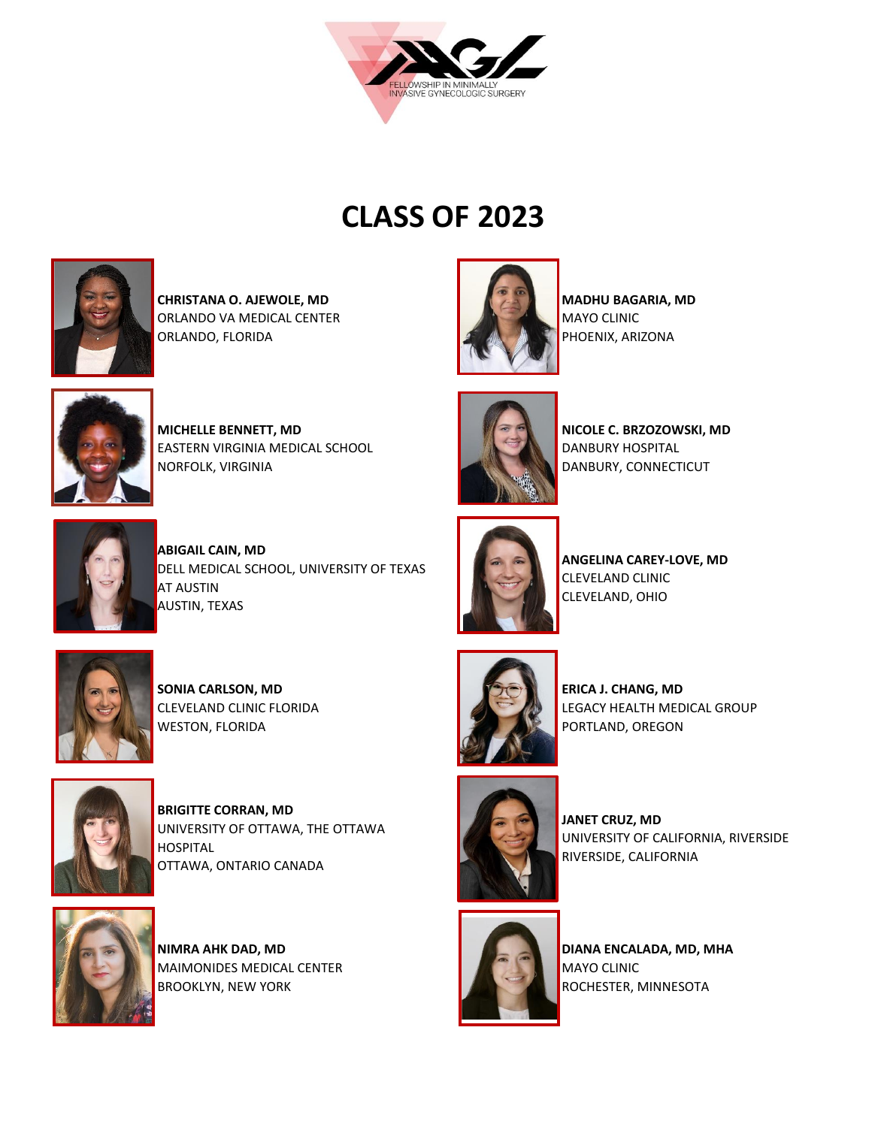

## **CLASS OF 2023**



**CHRISTANA O. AJEWOLE, MD**  ORLANDO VA MEDICAL CENTER ORLANDO, FLORIDA



**MADHU BAGARIA, MD**  MAYO CLINIC PHOENIX, ARIZONA



**MICHELLE BENNETT, MD** EASTERN VIRGINIA MEDICAL SCHOOL NORFOLK, VIRGINIA



**NICOLE C. BRZOZOWSKI, MD**  DANBURY HOSPITAL DANBURY, CONNECTICUT

**ANGELINA CAREY-LOVE, MD** 

CLEVELAND CLINIC CLEVELAND, OHIO



**ABIGAIL CAIN, MD**  DELL MEDICAL SCHOOL, UNIVERSITY OF TEXAS AT AUSTIN AUSTIN, TEXAS



**SONIA CARLSON, MD**  CLEVELAND CLINIC FLORIDA WESTON, FLORIDA



**BRIGITTE CORRAN, MD**  UNIVERSITY OF OTTAWA, THE OTTAWA **HOSPITAL** OTTAWA, ONTARIO CANADA



**NIMRA AHK DAD, MD**  MAIMONIDES MEDICAL CENTER BROOKLYN, NEW YORK



**ERICA J. CHANG, MD**  LEGACY HEALTH MEDICAL GROUP PORTLAND, OREGON



**JANET CRUZ, MD**  UNIVERSITY OF CALIFORNIA, RIVERSIDE RIVERSIDE, CALIFORNIA



**DIANA ENCALADA, MD, MHA** MAYO CLINIC ROCHESTER, MINNESOTA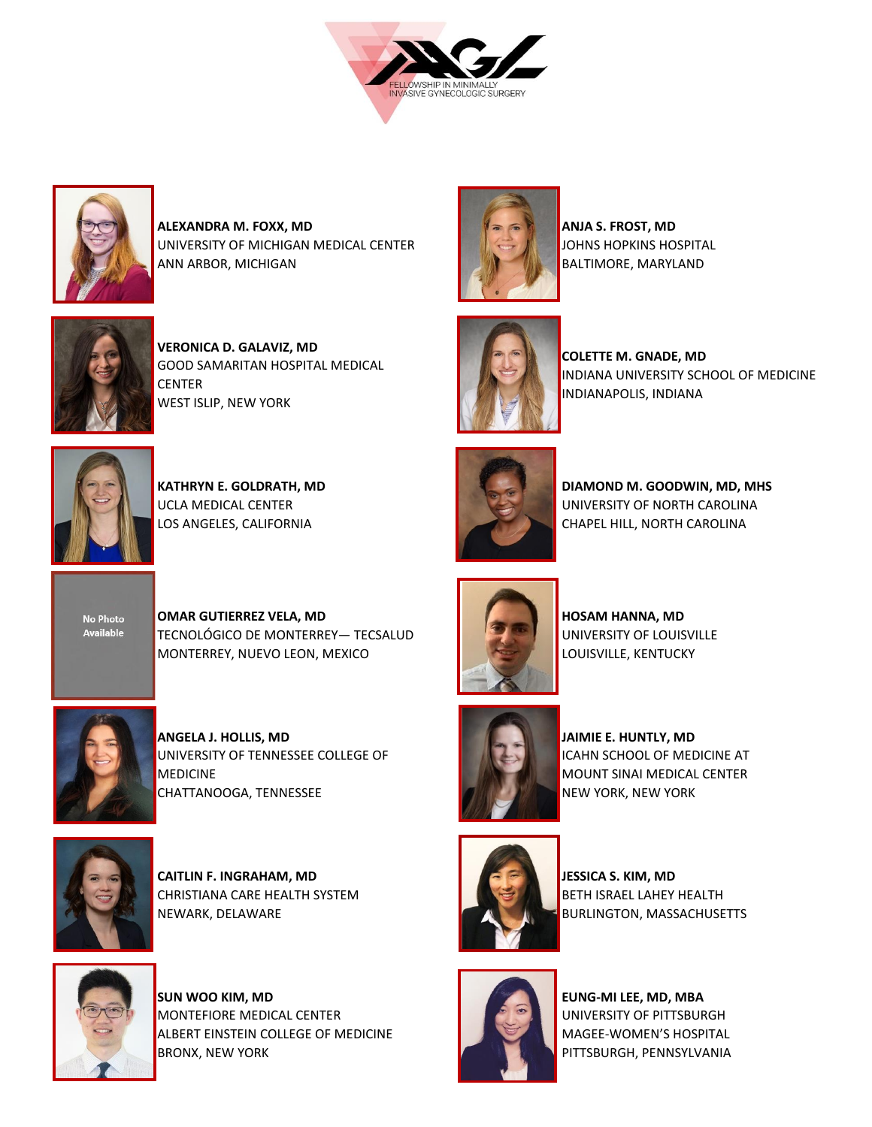



**ALEXANDRA M. FOXX, MD**  UNIVERSITY OF MICHIGAN MEDICAL CENTER ANN ARBOR, MICHIGAN



**VERONICA D. GALAVIZ, MD**  GOOD SAMARITAN HOSPITAL MEDICAL CENTER WEST ISLIP, NEW YORK



**KATHRYN E. GOLDRATH, MD**  UCLA MEDICAL CENTER LOS ANGELES, CALIFORNIA



**ANJA S. FROST, MD** JOHNS HOPKINS HOSPITAL BALTIMORE, MARYLAND



**COLETTE M. GNADE, MD**  INDIANA UNIVERSITY SCHOOL OF MEDICINE INDIANAPOLIS, INDIANA



**DIAMOND M. GOODWIN, MD, MHS**  UNIVERSITY OF NORTH CAROLINA CHAPEL HILL, NORTH CAROLINA



**OMAR GUTIERREZ VELA, MD** TECNOLÓGICO DE MONTERREY— TECSALUD MONTERREY, NUEVO LEON, MEXICO



**ANGELA J. HOLLIS, MD**  UNIVERSITY OF TENNESSEE COLLEGE OF **MEDICINE** CHATTANOOGA, TENNESSEE



**CAITLIN F. INGRAHAM, MD** CHRISTIANA CARE HEALTH SYSTEM NEWARK, DELAWARE



**SUN WOO KIM, MD**  MONTEFIORE MEDICAL CENTER ALBERT EINSTEIN COLLEGE OF MEDICINE BRONX, NEW YORK



**HOSAM HANNA, MD**  UNIVERSITY OF LOUISVILLE LOUISVILLE, KENTUCKY



**JAIMIE E. HUNTLY, MD**  ICAHN SCHOOL OF MEDICINE AT MOUNT SINAI MEDICAL CENTER NEW YORK, NEW YORK



**JESSICA S. KIM, MD**  BETH ISRAEL LAHEY HEALTH BURLINGTON, MASSACHUSETTS



**EUNG-MI LEE, MD, MBA**  UNIVERSITY OF PITTSBURGH MAGEE-WOMEN'S HOSPITAL PITTSBURGH, PENNSYLVANIA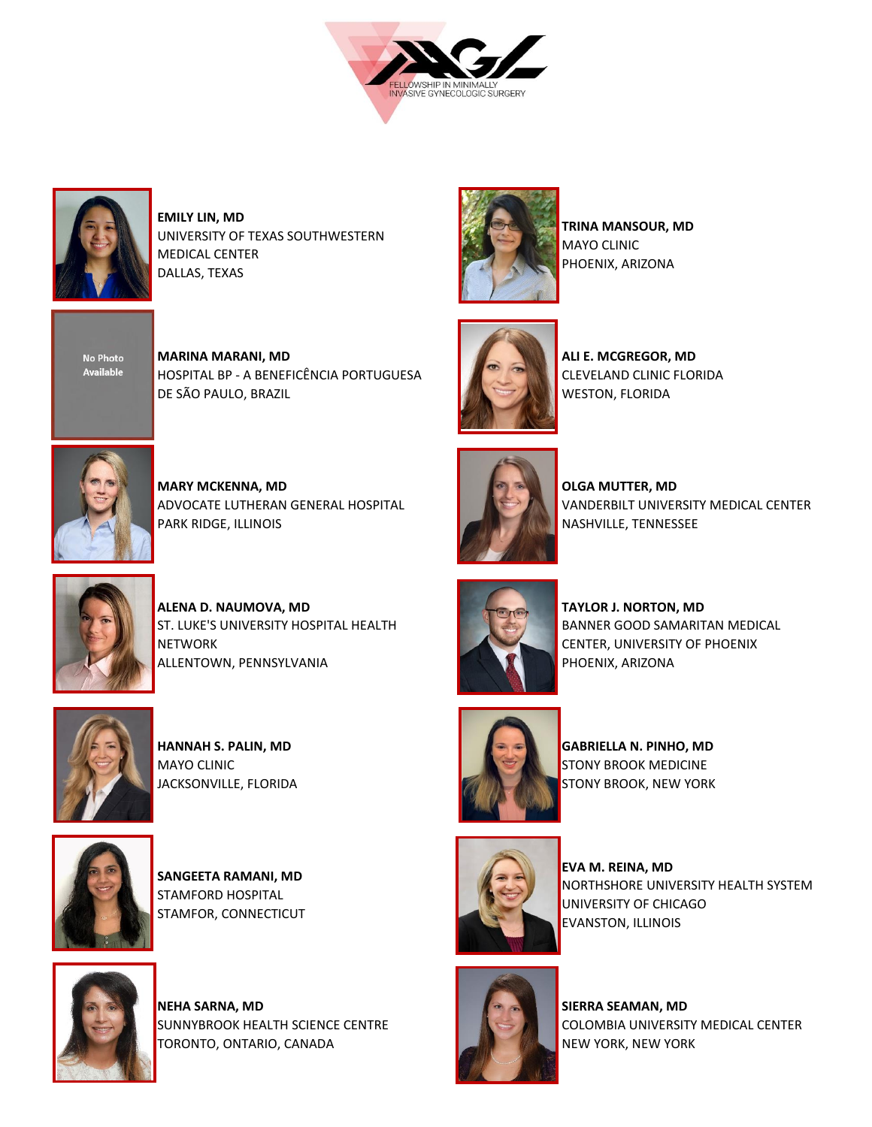



**EMILY LIN, MD**  UNIVERSITY OF TEXAS SOUTHWESTERN MEDICAL CENTER DALLAS, TEXAS



**MARINA MARANI, MD**  HOSPITAL BP - A BENEFICÊNCIA PORTUGUESA DE SÃO PAULO, BRAZIL



**MARY MCKENNA, MD**  ADVOCATE LUTHERAN GENERAL HOSPITAL PARK RIDGE, ILLINOIS



**ALENA D. NAUMOVA, MD**  ST. LUKE'S UNIVERSITY HOSPITAL HEALTH **NETWORK** ALLENTOWN, PENNSYLVANIA



**HANNAH S. PALIN, MD**  MAYO CLINIC JACKSONVILLE, FLORIDA



**SANGEETA RAMANI, MD**  STAMFORD HOSPITAL STAMFOR, CONNECTICUT



**NEHA SARNA, MD**  SUNNYBROOK HEALTH SCIENCE CENTRE TORONTO, ONTARIO, CANADA



**TRINA MANSOUR, MD**  MAYO CLINIC PHOENIX, ARIZONA



**ALI E. MCGREGOR, MD**  CLEVELAND CLINIC FLORIDA WESTON, FLORIDA



**OLGA MUTTER, MD**  VANDERBILT UNIVERSITY MEDICAL CENTER NASHVILLE, TENNESSEE



**TAYLOR J. NORTON, MD**  BANNER GOOD SAMARITAN MEDICAL CENTER, UNIVERSITY OF PHOENIX PHOENIX, ARIZONA



**GABRIELLA N. PINHO, MD** STONY BROOK MEDICINE STONY BROOK, NEW YORK



**EVA M. REINA, MD**  NORTHSHORE UNIVERSITY HEALTH SYSTEM UNIVERSITY OF CHICAGO EVANSTON, ILLINOIS



**SIERRA SEAMAN, MD**  COLOMBIA UNIVERSITY MEDICAL CENTER NEW YORK, NEW YORK